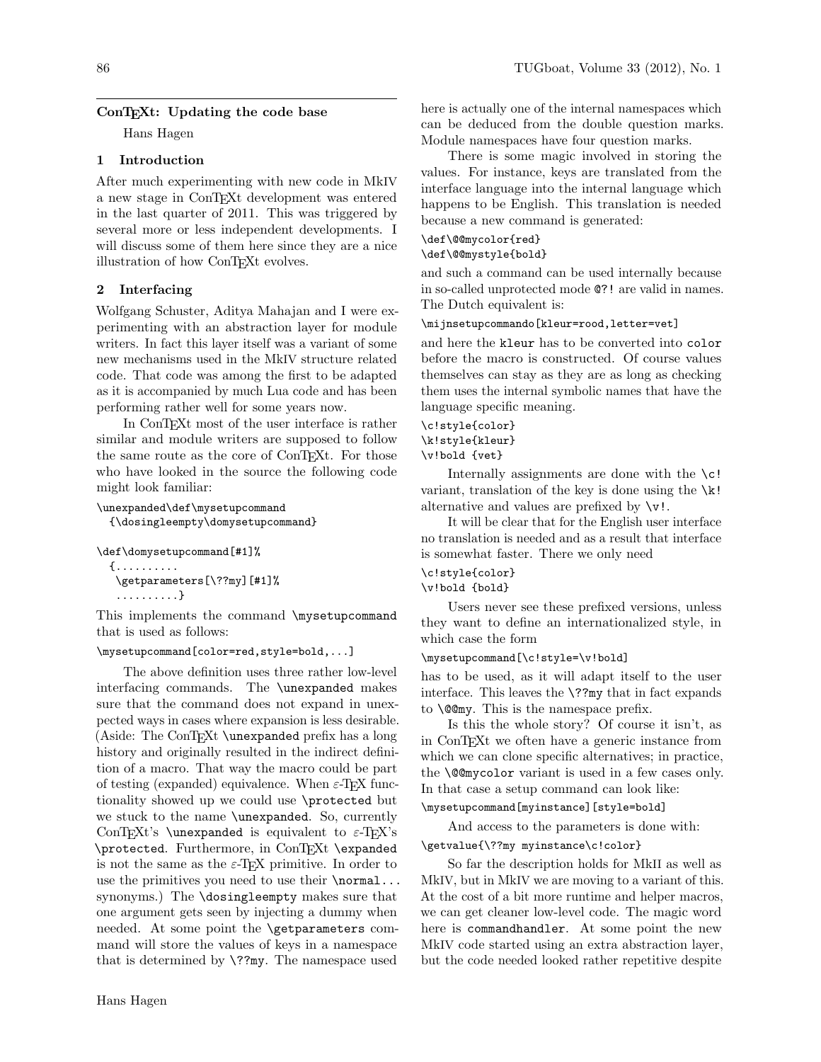# ConT<sub>EXt</sub>: Updating the code base

Hans Hagen

# 1 Introduction

After much experimenting with new code in MkIV a new stage in ConTEXt development was entered in the last quarter of 2011. This was triggered by several more or less independent developments. I will discuss some of them here since they are a nice illustration of how ConTEXt evolves.

# 2 Interfacing

Wolfgang Schuster, Aditya Mahajan and I were experimenting with an abstraction layer for module writers. In fact this layer itself was a variant of some new mechanisms used in the MkIV structure related code. That code was among the first to be adapted as it is accompanied by much Lua code and has been performing rather well for some years now.

In ConTEXt most of the user interface is rather similar and module writers are supposed to follow the same route as the core of ConTEXt. For those who have looked in the source the following code might look familiar:

```
\unexpanded\def\mysetupcommand
{\dosingleempty\domysetupcommand}
```
\def\domysetupcommand[#1]% {..........

\getparameters[\??my][#1]%

..........}

This implements the command \mysetupcommand that is used as follows:

# \mysetupcommand[color=red,style=bold,...]

The above definition uses three rather low-level interfacing commands. The \unexpanded makes sure that the command does not expand in unexpected ways in cases where expansion is less desirable. (Aside: The ConTEXt \unexpanded prefix has a long history and originally resulted in the indirect definition of a macro. That way the macro could be part of testing (expanded) equivalence. When  $\varepsilon$ -T<sub>E</sub>X functionality showed up we could use \protected but we stuck to the name \unexpanded. So, currently ConTEXt's \unexpanded is equivalent to  $\varepsilon$ -TEX's \protected. Furthermore, in ConTEXt \expanded is not the same as the  $\varepsilon$ -TEX primitive. In order to use the primitives you need to use their **\normal...** synonyms.) The \dosingleempty makes sure that one argument gets seen by injecting a dummy when needed. At some point the \getparameters command will store the values of keys in a namespace that is determined by  $\$ ??my. The namespace used

here is actually one of the internal namespaces which can be deduced from the double question marks. Module namespaces have four question marks.

There is some magic involved in storing the values. For instance, keys are translated from the interface language into the internal language which happens to be English. This translation is needed because a new command is generated:

## \def\@@mycolor{red} \def\@@mystyle{bold}

and such a command can be used internally because in so-called unprotected mode @?! are valid in names. The Dutch equivalent is:

# \mijnsetupcommando[kleur=rood,letter=vet]

and here the kleur has to be converted into color before the macro is constructed. Of course values themselves can stay as they are as long as checking them uses the internal symbolic names that have the language specific meaning.

\c!style{color} \k!style{kleur} \v!bold {vet}

Internally assignments are done with the  $\c$ ! variant, translation of the key is done using the  $\kappa$ ! alternative and values are prefixed by  $\forall v$ !

It will be clear that for the English user interface no translation is needed and as a result that interface is somewhat faster. There we only need

# \c!style{color}

# \v!bold {bold}

Users never see these prefixed versions, unless they want to define an internationalized style, in which case the form

## \mysetupcommand[\c!style=\v!bold]

has to be used, as it will adapt itself to the user interface. This leaves the \??my that in fact expands to \@@my. This is the namespace prefix.

Is this the whole story? Of course it isn't, as in ConTEXt we often have a generic instance from which we can clone specific alternatives; in practice, the \@@mycolor variant is used in a few cases only. In that case a setup command can look like:

# \mysetupcommand[myinstance][style=bold]

And access to the parameters is done with: \getvalue{\??my myinstance\c!color}

So far the description holds for MkII as well as MkIV, but in MkIV we are moving to a variant of this. At the cost of a bit more runtime and helper macros,

we can get cleaner low-level code. The magic word here is commandhandler. At some point the new MkIV code started using an extra abstraction layer, but the code needed looked rather repetitive despite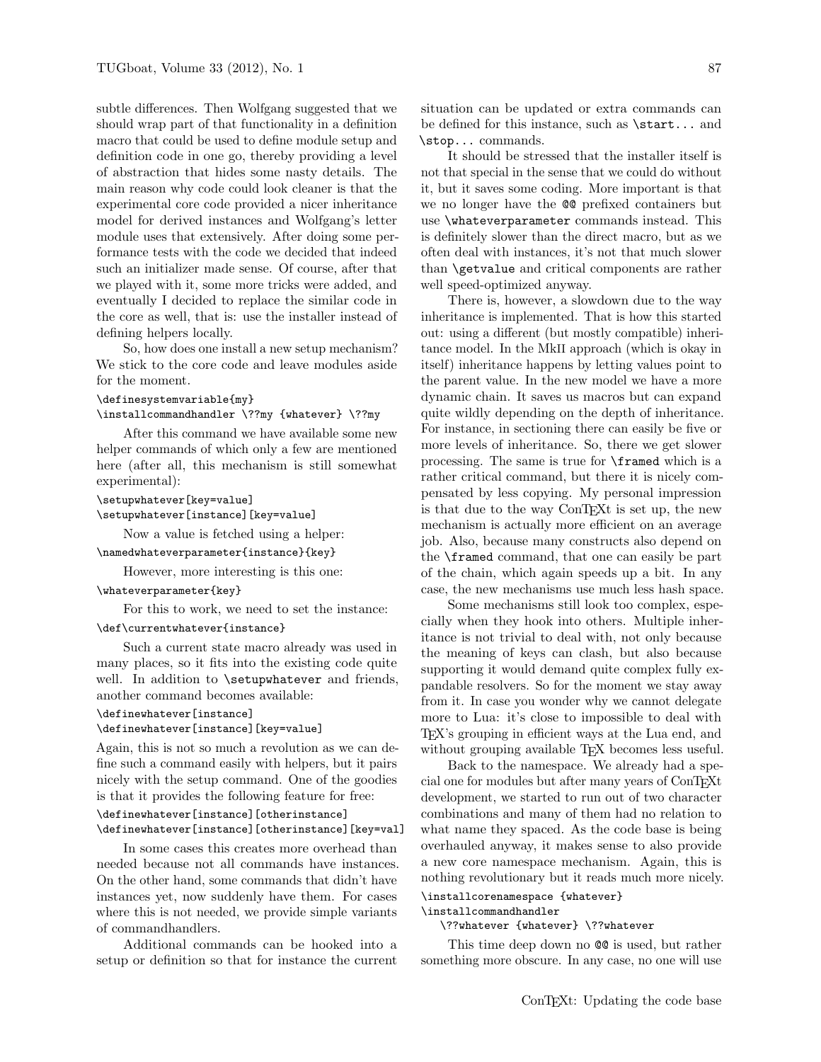subtle differences. Then Wolfgang suggested that we should wrap part of that functionality in a definition macro that could be used to define module setup and definition code in one go, thereby providing a level of abstraction that hides some nasty details. The main reason why code could look cleaner is that the experimental core code provided a nicer inheritance model for derived instances and Wolfgang's letter module uses that extensively. After doing some performance tests with the code we decided that indeed such an initializer made sense. Of course, after that we played with it, some more tricks were added, and eventually I decided to replace the similar code in the core as well, that is: use the installer instead of defining helpers locally.

So, how does one install a new setup mechanism? We stick to the core code and leave modules aside for the moment.

#### \definesystemvariable{my}

#### \installcommandhandler \??my {whatever} \??my

After this command we have available some new helper commands of which only a few are mentioned here (after all, this mechanism is still somewhat experimental):

\setupwhatever[key=value] \setupwhatever[instance][key=value]

Now a value is fetched using a helper:

## \namedwhateverparameter{instance}{key}

However, more interesting is this one:

# \whateverparameter{key}

For this to work, we need to set the instance:

# \def\currentwhatever{instance}

Such a current state macro already was used in many places, so it fits into the existing code quite well. In addition to **\setupwhatever** and friends, another command becomes available:

```
\definewhatever[instance]
```
# \definewhatever[instance][key=value]

Again, this is not so much a revolution as we can define such a command easily with helpers, but it pairs nicely with the setup command. One of the goodies is that it provides the following feature for free:

# \definewhatever[instance][otherinstance] \definewhatever[instance][otherinstance][key=val]

In some cases this creates more overhead than needed because not all commands have instances. On the other hand, some commands that didn't have instances yet, now suddenly have them. For cases where this is not needed, we provide simple variants of commandhandlers.

Additional commands can be hooked into a setup or definition so that for instance the current

situation can be updated or extra commands can be defined for this instance, such as \start... and \stop... commands.

It should be stressed that the installer itself is not that special in the sense that we could do without it, but it saves some coding. More important is that we no longer have the @@ prefixed containers but use \whateverparameter commands instead. This is definitely slower than the direct macro, but as we often deal with instances, it's not that much slower than \getvalue and critical components are rather well speed-optimized anyway.

There is, however, a slowdown due to the way inheritance is implemented. That is how this started out: using a different (but mostly compatible) inheritance model. In the MkII approach (which is okay in itself) inheritance happens by letting values point to the parent value. In the new model we have a more dynamic chain. It saves us macros but can expand quite wildly depending on the depth of inheritance. For instance, in sectioning there can easily be five or more levels of inheritance. So, there we get slower processing. The same is true for \framed which is a rather critical command, but there it is nicely compensated by less copying. My personal impression is that due to the way ConT<sub>E</sub>Xt is set up, the new mechanism is actually more efficient on an average job. Also, because many constructs also depend on the \framed command, that one can easily be part of the chain, which again speeds up a bit. In any case, the new mechanisms use much less hash space.

Some mechanisms still look too complex, especially when they hook into others. Multiple inheritance is not trivial to deal with, not only because the meaning of keys can clash, but also because supporting it would demand quite complex fully expandable resolvers. So for the moment we stay away from it. In case you wonder why we cannot delegate more to Lua: it's close to impossible to deal with TEX's grouping in efficient ways at the Lua end, and without grouping available T<sub>EX</sub> becomes less useful.

Back to the namespace. We already had a special one for modules but after many years of ConTEXt development, we started to run out of two character combinations and many of them had no relation to what name they spaced. As the code base is being overhauled anyway, it makes sense to also provide a new core namespace mechanism. Again, this is nothing revolutionary but it reads much more nicely. \installcorenamespace {whatever}

# \installcommandhandler

## \??whatever {whatever} \??whatever

This time deep down no  $QQ$  is used, but rather something more obscure. In any case, no one will use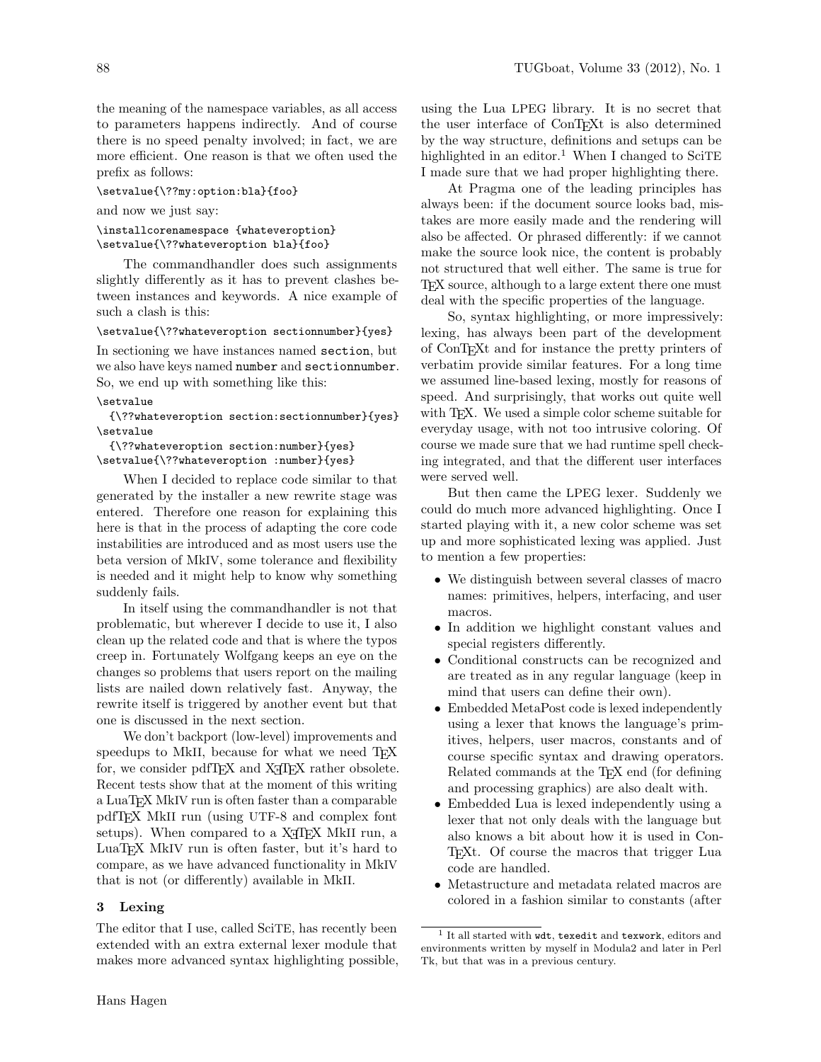the meaning of the namespace variables, as all access to parameters happens indirectly. And of course there is no speed penalty involved; in fact, we are more efficient. One reason is that we often used the prefix as follows:

\setvalue{\??my:option:bla}{foo}

and now we just say:

\installcorenamespace {whateveroption} \setvalue{\??whateveroption bla}{foo}

The commandhandler does such assignments slightly differently as it has to prevent clashes between instances and keywords. A nice example of such a clash is this:

\setvalue{\??whateveroption sectionnumber}{yes}

In sectioning we have instances named section, but we also have keys named number and sectionnumber. So, we end up with something like this:

## \setvalue

{\??whateveroption section:sectionnumber}{yes} \setvalue

{\??whateveroption section:number}{yes} \setvalue{\??whateveroption :number}{yes}

When I decided to replace code similar to that generated by the installer a new rewrite stage was entered. Therefore one reason for explaining this here is that in the process of adapting the core code instabilities are introduced and as most users use the beta version of MkIV, some tolerance and flexibility is needed and it might help to know why something suddenly fails.

In itself using the commandhandler is not that problematic, but wherever I decide to use it, I also clean up the related code and that is where the typos creep in. Fortunately Wolfgang keeps an eye on the changes so problems that users report on the mailing lists are nailed down relatively fast. Anyway, the rewrite itself is triggered by another event but that one is discussed in the next section.

We don't backport (low-level) improvements and speedups to MkII, because for what we need T<sub>E</sub>X for, we consider pdfT<sub>F</sub>X and X<sub>T</sub>T<sub>F</sub>X rather obsolete. Recent tests show that at the moment of this writing a LuaTEX MkIV run is often faster than a comparable pdfTEX MkII run (using UTF-8 and complex font setups). When compared to a X<sub>H</sub>T<sub>E</sub>X MkII run, a LuaTEX MkIV run is often faster, but it's hard to compare, as we have advanced functionality in MkIV that is not (or differently) available in MkII.

# 3 Lexing

The editor that I use, called SciTE, has recently been extended with an extra external lexer module that makes more advanced syntax highlighting possible, using the Lua LPEG library. It is no secret that the user interface of ConTEXt is also determined by the way structure, definitions and setups can be highlighted in an editor.<sup>1</sup> When I changed to SciTE I made sure that we had proper highlighting there.

At Pragma one of the leading principles has always been: if the document source looks bad, mistakes are more easily made and the rendering will also be affected. Or phrased differently: if we cannot make the source look nice, the content is probably not structured that well either. The same is true for TEX source, although to a large extent there one must deal with the specific properties of the language.

So, syntax highlighting, or more impressively: lexing, has always been part of the development of ConTEXt and for instance the pretty printers of verbatim provide similar features. For a long time we assumed line-based lexing, mostly for reasons of speed. And surprisingly, that works out quite well with TEX. We used a simple color scheme suitable for everyday usage, with not too intrusive coloring. Of course we made sure that we had runtime spell checking integrated, and that the different user interfaces were served well.

But then came the LPEG lexer. Suddenly we could do much more advanced highlighting. Once I started playing with it, a new color scheme was set up and more sophisticated lexing was applied. Just to mention a few properties:

- We distinguish between several classes of macro names: primitives, helpers, interfacing, and user macros.
- In addition we highlight constant values and special registers differently.
- Conditional constructs can be recognized and are treated as in any regular language (keep in mind that users can define their own).
- Embedded MetaPost code is lexed independently using a lexer that knows the language's primitives, helpers, user macros, constants and of course specific syntax and drawing operators. Related commands at the TEX end (for defining and processing graphics) are also dealt with.
- Embedded Lua is lexed independently using a lexer that not only deals with the language but also knows a bit about how it is used in Con-TEXt. Of course the macros that trigger Lua code are handled.
- Metastructure and metadata related macros are colored in a fashion similar to constants (after

<sup>1</sup> It all started with wdt, texedit and texwork, editors and environments written by myself in Modula2 and later in Perl Tk, but that was in a previous century.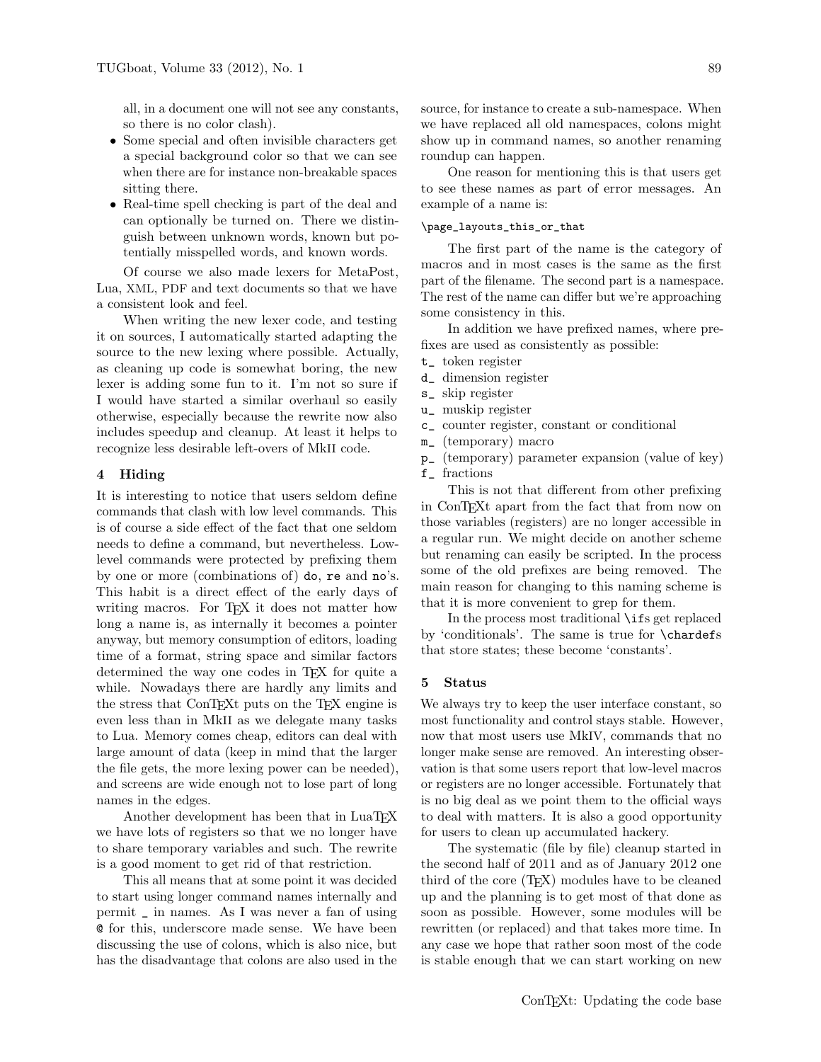all, in a document one will not see any constants, so there is no color clash).

- Some special and often invisible characters get a special background color so that we can see when there are for instance non-breakable spaces sitting there.
- Real-time spell checking is part of the deal and can optionally be turned on. There we distinguish between unknown words, known but potentially misspelled words, and known words.

Of course we also made lexers for MetaPost, Lua, XML, PDF and text documents so that we have a consistent look and feel.

When writing the new lexer code, and testing it on sources, I automatically started adapting the source to the new lexing where possible. Actually, as cleaning up code is somewhat boring, the new lexer is adding some fun to it. I'm not so sure if I would have started a similar overhaul so easily otherwise, especially because the rewrite now also includes speedup and cleanup. At least it helps to recognize less desirable left-overs of MkII code.

## 4 Hiding

It is interesting to notice that users seldom define commands that clash with low level commands. This is of course a side effect of the fact that one seldom needs to define a command, but nevertheless. Lowlevel commands were protected by prefixing them by one or more (combinations of) do, re and no's. This habit is a direct effect of the early days of writing macros. For T<sub>F</sub>X it does not matter how long a name is, as internally it becomes a pointer anyway, but memory consumption of editors, loading time of a format, string space and similar factors determined the way one codes in T<sub>E</sub>X for quite a while. Nowadays there are hardly any limits and the stress that ConTEXt puts on the TEX engine is even less than in MkII as we delegate many tasks to Lua. Memory comes cheap, editors can deal with large amount of data (keep in mind that the larger the file gets, the more lexing power can be needed), and screens are wide enough not to lose part of long names in the edges.

Another development has been that in LuaTEX we have lots of registers so that we no longer have to share temporary variables and such. The rewrite is a good moment to get rid of that restriction.

This all means that at some point it was decided to start using longer command names internally and permit \_ in names. As I was never a fan of using @ for this, underscore made sense. We have been discussing the use of colons, which is also nice, but has the disadvantage that colons are also used in the

source, for instance to create a sub-namespace. When we have replaced all old namespaces, colons might show up in command names, so another renaming roundup can happen.

One reason for mentioning this is that users get to see these names as part of error messages. An example of a name is:

## \page\_layouts\_this\_or\_that

The first part of the name is the category of macros and in most cases is the same as the first part of the filename. The second part is a namespace. The rest of the name can differ but we're approaching some consistency in this.

In addition we have prefixed names, where prefixes are used as consistently as possible:

- t\_ token register
- d\_ dimension register
- s\_ skip register
- u\_ muskip register
- c\_ counter register, constant or conditional
- m\_ (temporary) macro
- p\_ (temporary) parameter expansion (value of key)
- f\_ fractions

This is not that different from other prefixing in ConTEXt apart from the fact that from now on those variables (registers) are no longer accessible in a regular run. We might decide on another scheme but renaming can easily be scripted. In the process some of the old prefixes are being removed. The main reason for changing to this naming scheme is that it is more convenient to grep for them.

In the process most traditional \ifs get replaced by 'conditionals'. The same is true for \chardefs that store states; these become 'constants'.

## 5 Status

We always try to keep the user interface constant, so most functionality and control stays stable. However, now that most users use MkIV, commands that no longer make sense are removed. An interesting observation is that some users report that low-level macros or registers are no longer accessible. Fortunately that is no big deal as we point them to the official ways to deal with matters. It is also a good opportunity for users to clean up accumulated hackery.

The systematic (file by file) cleanup started in the second half of 2011 and as of January 2012 one third of the core (TEX) modules have to be cleaned up and the planning is to get most of that done as soon as possible. However, some modules will be rewritten (or replaced) and that takes more time. In any case we hope that rather soon most of the code is stable enough that we can start working on new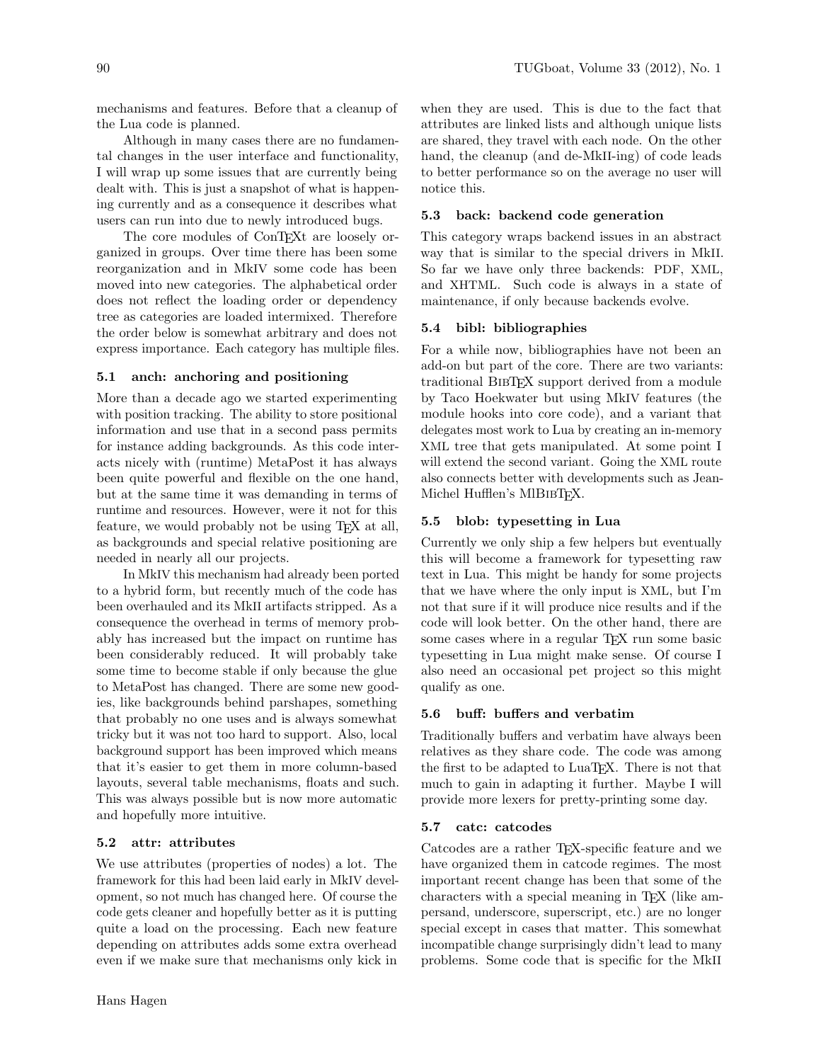mechanisms and features. Before that a cleanup of the Lua code is planned.

Although in many cases there are no fundamental changes in the user interface and functionality, I will wrap up some issues that are currently being dealt with. This is just a snapshot of what is happening currently and as a consequence it describes what users can run into due to newly introduced bugs.

The core modules of ConTEXt are loosely organized in groups. Over time there has been some reorganization and in MkIV some code has been moved into new categories. The alphabetical order does not reflect the loading order or dependency tree as categories are loaded intermixed. Therefore the order below is somewhat arbitrary and does not express importance. Each category has multiple files.

# 5.1 anch: anchoring and positioning

More than a decade ago we started experimenting with position tracking. The ability to store positional information and use that in a second pass permits for instance adding backgrounds. As this code interacts nicely with (runtime) MetaPost it has always been quite powerful and flexible on the one hand, but at the same time it was demanding in terms of runtime and resources. However, were it not for this feature, we would probably not be using T<sub>EX</sub> at all, as backgrounds and special relative positioning are needed in nearly all our projects.

In MkIV this mechanism had already been ported to a hybrid form, but recently much of the code has been overhauled and its MkII artifacts stripped. As a consequence the overhead in terms of memory probably has increased but the impact on runtime has been considerably reduced. It will probably take some time to become stable if only because the glue to MetaPost has changed. There are some new goodies, like backgrounds behind parshapes, something that probably no one uses and is always somewhat tricky but it was not too hard to support. Also, local background support has been improved which means that it's easier to get them in more column-based layouts, several table mechanisms, floats and such. This was always possible but is now more automatic and hopefully more intuitive.

# 5.2 attr: attributes

We use attributes (properties of nodes) a lot. The framework for this had been laid early in MkIV development, so not much has changed here. Of course the code gets cleaner and hopefully better as it is putting quite a load on the processing. Each new feature depending on attributes adds some extra overhead even if we make sure that mechanisms only kick in

when they are used. This is due to the fact that attributes are linked lists and although unique lists are shared, they travel with each node. On the other hand, the cleanup (and de-MkII-ing) of code leads to better performance so on the average no user will notice this.

# 5.3 back: backend code generation

This category wraps backend issues in an abstract way that is similar to the special drivers in MkII. So far we have only three backends: PDF, XML, and XHTML. Such code is always in a state of maintenance, if only because backends evolve.

# 5.4 bibl: bibliographies

For a while now, bibliographies have not been an add-on but part of the core. There are two variants: traditional BibTEX support derived from a module by Taco Hoekwater but using MkIV features (the module hooks into core code), and a variant that delegates most work to Lua by creating an in-memory XML tree that gets manipulated. At some point I will extend the second variant. Going the XML route also connects better with developments such as Jean-Michel Hufflen's MIBIBTEX.

# 5.5 blob: typesetting in Lua

Currently we only ship a few helpers but eventually this will become a framework for typesetting raw text in Lua. This might be handy for some projects that we have where the only input is XML, but I'm not that sure if it will produce nice results and if the code will look better. On the other hand, there are some cases where in a regular T<sub>EX</sub> run some basic typesetting in Lua might make sense. Of course I also need an occasional pet project so this might qualify as one.

# 5.6 buff: buffers and verbatim

Traditionally buffers and verbatim have always been relatives as they share code. The code was among the first to be adapted to LuaT<sub>EX</sub>. There is not that much to gain in adapting it further. Maybe I will provide more lexers for pretty-printing some day.

# 5.7 catc: catcodes

Catcodes are a rather T<sub>E</sub>X-specific feature and we have organized them in catcode regimes. The most important recent change has been that some of the characters with a special meaning in TEX (like ampersand, underscore, superscript, etc.) are no longer special except in cases that matter. This somewhat incompatible change surprisingly didn't lead to many problems. Some code that is specific for the MkII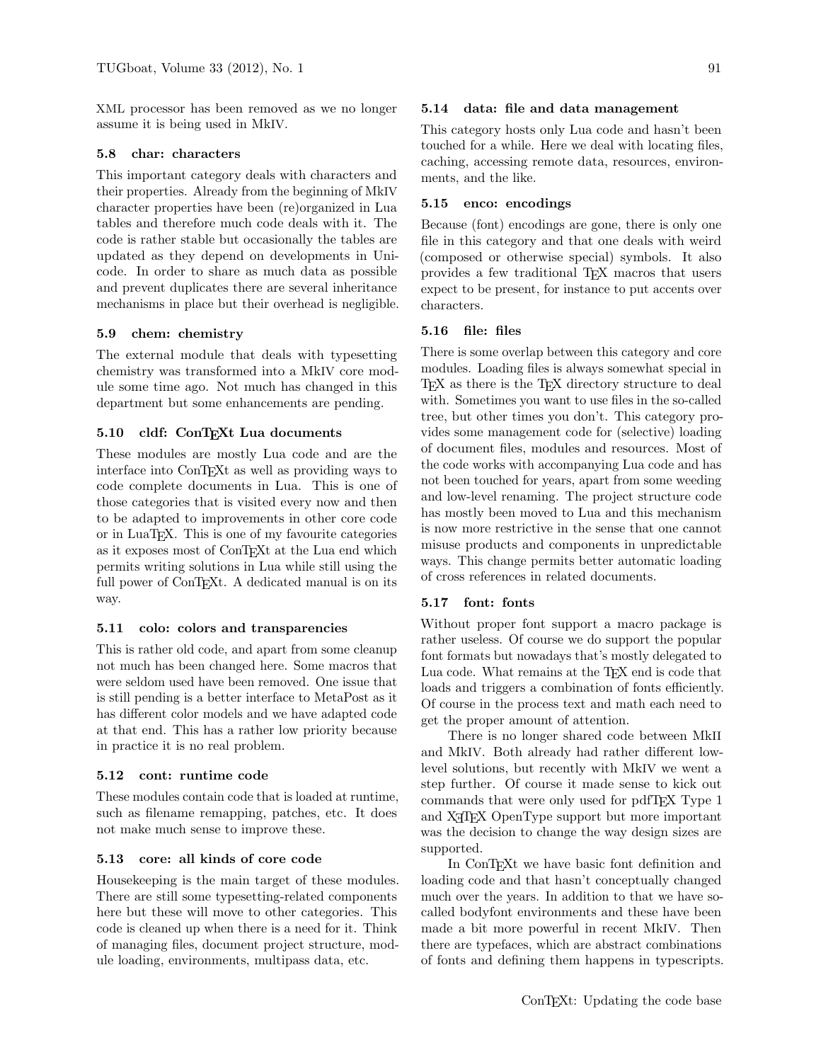XML processor has been removed as we no longer assume it is being used in MkIV.

## 5.8 char: characters

This important category deals with characters and their properties. Already from the beginning of MkIV character properties have been (re)organized in Lua tables and therefore much code deals with it. The code is rather stable but occasionally the tables are updated as they depend on developments in Unicode. In order to share as much data as possible and prevent duplicates there are several inheritance mechanisms in place but their overhead is negligible.

## 5.9 chem: chemistry

The external module that deals with typesetting chemistry was transformed into a MkIV core module some time ago. Not much has changed in this department but some enhancements are pending.

## 5.10 cldf: ConTEXt Lua documents

These modules are mostly Lua code and are the interface into ConTEXt as well as providing ways to code complete documents in Lua. This is one of those categories that is visited every now and then to be adapted to improvements in other core code or in LuaTEX. This is one of my favourite categories as it exposes most of ConTEXt at the Lua end which permits writing solutions in Lua while still using the full power of ConTEXt. A dedicated manual is on its way.

## 5.11 colo: colors and transparencies

This is rather old code, and apart from some cleanup not much has been changed here. Some macros that were seldom used have been removed. One issue that is still pending is a better interface to MetaPost as it has different color models and we have adapted code at that end. This has a rather low priority because in practice it is no real problem.

## 5.12 cont: runtime code

These modules contain code that is loaded at runtime, such as filename remapping, patches, etc. It does not make much sense to improve these.

## 5.13 core: all kinds of core code

Housekeeping is the main target of these modules. There are still some typesetting-related components here but these will move to other categories. This code is cleaned up when there is a need for it. Think of managing files, document project structure, module loading, environments, multipass data, etc.

## 5.14 data: file and data management

This category hosts only Lua code and hasn't been touched for a while. Here we deal with locating files, caching, accessing remote data, resources, environments, and the like.

## 5.15 enco: encodings

Because (font) encodings are gone, there is only one file in this category and that one deals with weird (composed or otherwise special) symbols. It also provides a few traditional TEX macros that users expect to be present, for instance to put accents over characters.

# 5.16 file: files

There is some overlap between this category and core modules. Loading files is always somewhat special in T<sub>EX</sub> as there is the T<sub>EX</sub> directory structure to deal with. Sometimes you want to use files in the so-called tree, but other times you don't. This category provides some management code for (selective) loading of document files, modules and resources. Most of the code works with accompanying Lua code and has not been touched for years, apart from some weeding and low-level renaming. The project structure code has mostly been moved to Lua and this mechanism is now more restrictive in the sense that one cannot misuse products and components in unpredictable ways. This change permits better automatic loading of cross references in related documents.

## 5.17 font: fonts

Without proper font support a macro package is rather useless. Of course we do support the popular font formats but nowadays that's mostly delegated to Lua code. What remains at the T<sub>EX</sub> end is code that loads and triggers a combination of fonts efficiently. Of course in the process text and math each need to get the proper amount of attention.

There is no longer shared code between MkII and MkIV. Both already had rather different lowlevel solutions, but recently with MkIV we went a step further. Of course it made sense to kick out commands that were only used for pdfT<sub>EX</sub> Type 1 and X<sub>T</sub>T<sub>F</sub>X OpenType support but more important was the decision to change the way design sizes are supported.

In ConTEXt we have basic font definition and loading code and that hasn't conceptually changed much over the years. In addition to that we have socalled bodyfont environments and these have been made a bit more powerful in recent MkIV. Then there are typefaces, which are abstract combinations of fonts and defining them happens in typescripts.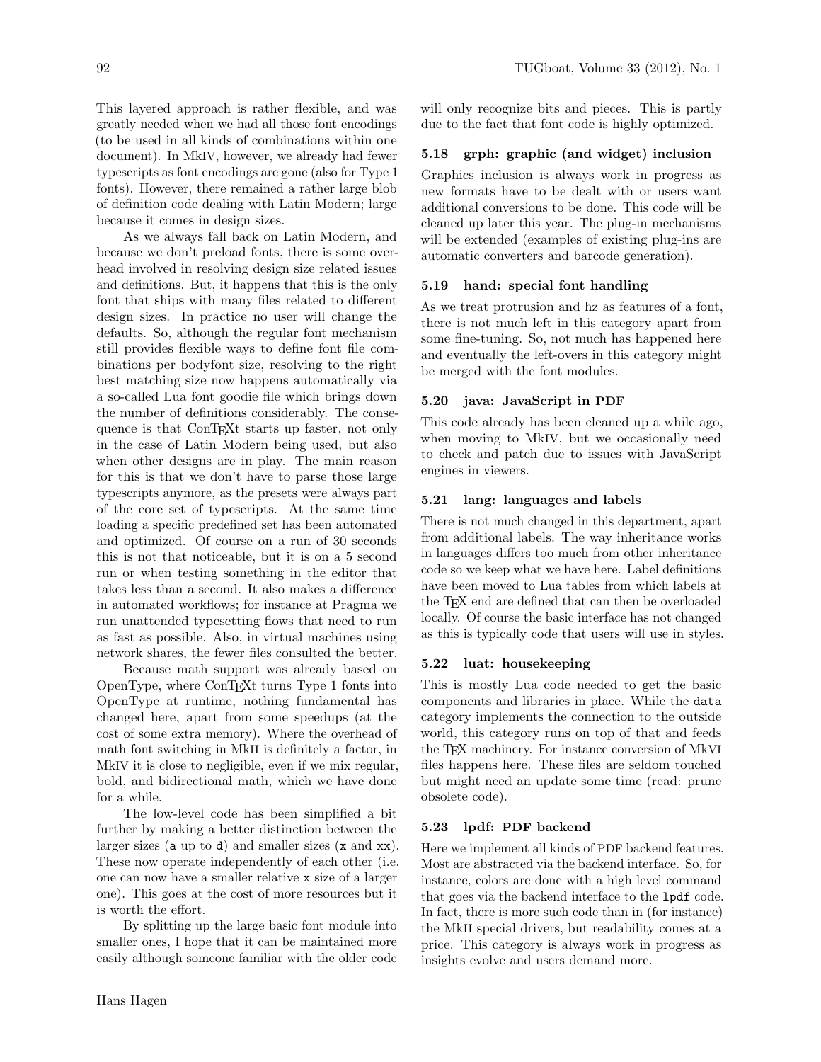This layered approach is rather flexible, and was greatly needed when we had all those font encodings (to be used in all kinds of combinations within one document). In MkIV, however, we already had fewer typescripts as font encodings are gone (also for Type 1 fonts). However, there remained a rather large blob of definition code dealing with Latin Modern; large because it comes in design sizes.

As we always fall back on Latin Modern, and because we don't preload fonts, there is some overhead involved in resolving design size related issues and definitions. But, it happens that this is the only font that ships with many files related to different design sizes. In practice no user will change the defaults. So, although the regular font mechanism still provides flexible ways to define font file combinations per bodyfont size, resolving to the right best matching size now happens automatically via a so-called Lua font goodie file which brings down the number of definitions considerably. The consequence is that ConTEXt starts up faster, not only in the case of Latin Modern being used, but also when other designs are in play. The main reason for this is that we don't have to parse those large typescripts anymore, as the presets were always part of the core set of typescripts. At the same time loading a specific predefined set has been automated and optimized. Of course on a run of 30 seconds this is not that noticeable, but it is on a 5 second run or when testing something in the editor that takes less than a second. It also makes a difference in automated workflows; for instance at Pragma we run unattended typesetting flows that need to run as fast as possible. Also, in virtual machines using network shares, the fewer files consulted the better.

Because math support was already based on OpenType, where ConTEXt turns Type 1 fonts into OpenType at runtime, nothing fundamental has changed here, apart from some speedups (at the cost of some extra memory). Where the overhead of math font switching in MkII is definitely a factor, in MkIV it is close to negligible, even if we mix regular, bold, and bidirectional math, which we have done for a while.

The low-level code has been simplified a bit further by making a better distinction between the larger sizes (a up to d) and smaller sizes (x and xx). These now operate independently of each other (i.e. one can now have a smaller relative x size of a larger one). This goes at the cost of more resources but it is worth the effort.

By splitting up the large basic font module into smaller ones, I hope that it can be maintained more easily although someone familiar with the older code will only recognize bits and pieces. This is partly due to the fact that font code is highly optimized.

# 5.18 grph: graphic (and widget) inclusion

Graphics inclusion is always work in progress as new formats have to be dealt with or users want additional conversions to be done. This code will be cleaned up later this year. The plug-in mechanisms will be extended (examples of existing plug-ins are automatic converters and barcode generation).

# 5.19 hand: special font handling

As we treat protrusion and hz as features of a font, there is not much left in this category apart from some fine-tuning. So, not much has happened here and eventually the left-overs in this category might be merged with the font modules.

# 5.20 java: JavaScript in PDF

This code already has been cleaned up a while ago, when moving to MkIV, but we occasionally need to check and patch due to issues with JavaScript engines in viewers.

# 5.21 lang: languages and labels

There is not much changed in this department, apart from additional labels. The way inheritance works in languages differs too much from other inheritance code so we keep what we have here. Label definitions have been moved to Lua tables from which labels at the TEX end are defined that can then be overloaded locally. Of course the basic interface has not changed as this is typically code that users will use in styles.

# 5.22 luat: housekeeping

This is mostly Lua code needed to get the basic components and libraries in place. While the data category implements the connection to the outside world, this category runs on top of that and feeds the TEX machinery. For instance conversion of MkVI files happens here. These files are seldom touched but might need an update some time (read: prune obsolete code).

# 5.23 lpdf: PDF backend

Here we implement all kinds of PDF backend features. Most are abstracted via the backend interface. So, for instance, colors are done with a high level command that goes via the backend interface to the lpdf code. In fact, there is more such code than in (for instance) the MkII special drivers, but readability comes at a price. This category is always work in progress as insights evolve and users demand more.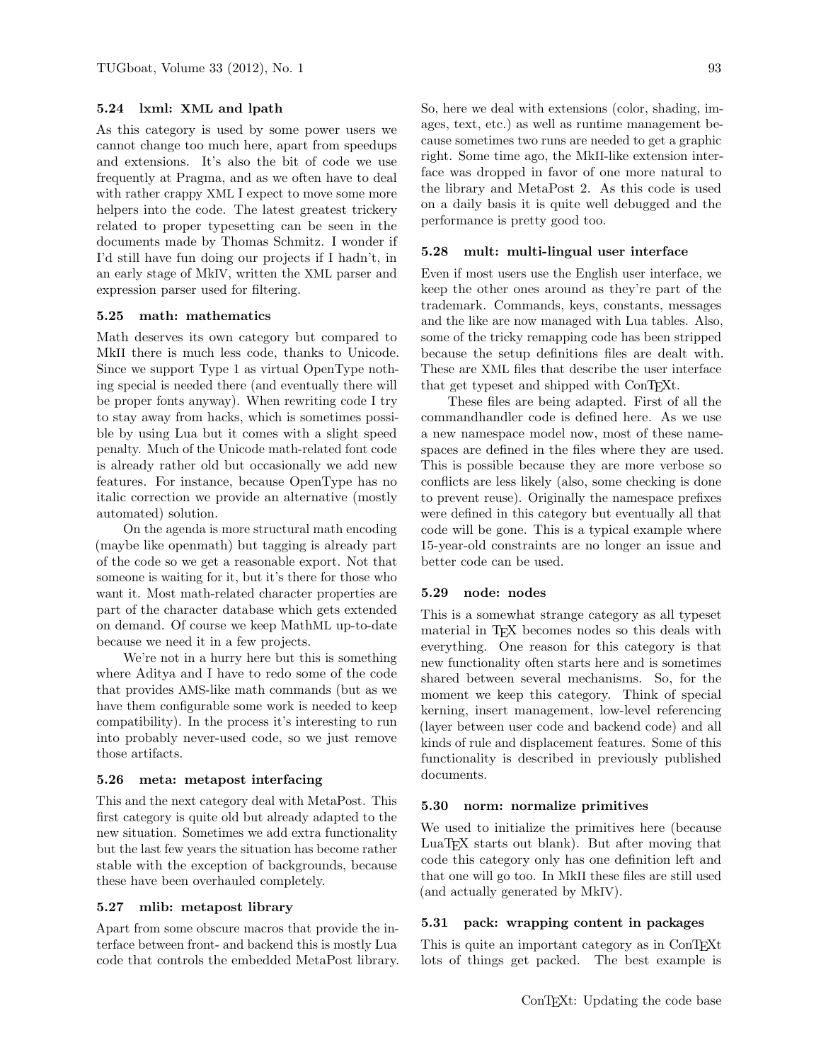# 5.24 lxml: XML and lpath

As this category is used by some power users we cannot change too much here, apart from speedups and extensions. It's also the bit of code we use frequently at Pragma, and as we often have to deal with rather crappy XML I expect to move some more helpers into the code. The latest greatest trickery related to proper typesetting can be seen in the documents made by Thomas Schmitz. I wonder if I'd still have fun doing our projects if I hadn't, in an early stage of MkIV, written the XML parser and expression parser used for filtering.

## 5.25 math: mathematics

Math deserves its own category but compared to MkII there is much less code, thanks to Unicode. Since we support Type 1 as virtual OpenType nothing special is needed there (and eventually there will be proper fonts anyway). When rewriting code I try to stay away from hacks, which is sometimes possible by using Lua but it comes with a slight speed penalty. Much of the Unicode math-related font code is already rather old but occasionally we add new features. For instance, because OpenType has no italic correction we provide an alternative (mostly automated) solution.

On the agenda is more structural math encoding (maybe like openmath) but tagging is already part of the code so we get a reasonable export. Not that someone is waiting for it, but it's there for those who want it. Most math-related character properties are part of the character database which gets extended on demand. Of course we keep MathML up-to-date because we need it in a few projects.

We're not in a hurry here but this is something where Aditya and I have to redo some of the code that provides AMS-like math commands (but as we have them configurable some work is needed to keep compatibility). In the process it's interesting to run into probably never-used code, so we just remove those artifacts.

#### 5.26 meta: metapost interfacing

This and the next category deal with MetaPost. This first category is quite old but already adapted to the new situation. Sometimes we add extra functionality but the last few years the situation has become rather stable with the exception of backgrounds, because these have been overhauled completely.

## 5.27 mlib: metapost library

Apart from some obscure macros that provide the interface between front- and backend this is mostly Lua code that controls the embedded MetaPost library. So, here we deal with extensions (color, shading, images, text, etc.) as well as runtime management because sometimes two runs are needed to get a graphic right. Some time ago, the MkII-like extension interface was dropped in favor of one more natural to the library and MetaPost 2. As this code is used on a daily basis it is quite well debugged and the performance is pretty good too.

## 5.28 mult: multi-lingual user interface

Even if most users use the English user interface, we keep the other ones around as they're part of the trademark. Commands, keys, constants, messages and the like are now managed with Lua tables. Also, some of the tricky remapping code has been stripped because the setup definitions files are dealt with. These are XML files that describe the user interface that get typeset and shipped with ConT<sub>EXt</sub>.

These files are being adapted. First of all the commandhandler code is defined here. As we use a new namespace model now, most of these namespaces are defined in the files where they are used. This is possible because they are more verbose so conflicts are less likely (also, some checking is done to prevent reuse). Originally the namespace prefixes were defined in this category but eventually all that code will be gone. This is a typical example where 15-year-old constraints are no longer an issue and better code can be used.

#### 5.29 node: nodes

This is a somewhat strange category as all typeset material in TFX becomes nodes so this deals with everything. One reason for this category is that new functionality often starts here and is sometimes shared between several mechanisms. So, for the moment we keep this category. Think of special kerning, insert management, low-level referencing (layer between user code and backend code) and all kinds of rule and displacement features. Some of this functionality is described in previously published documents.

#### 5.30 norm: normalize primitives

We used to initialize the primitives here (because LuaTEX starts out blank). But after moving that code this category only has one definition left and that one will go too. In MkII these files are still used (and actually generated by MkIV).

## 5.31 pack: wrapping content in packages

This is quite an important category as in ConTEXt lots of things get packed. The best example is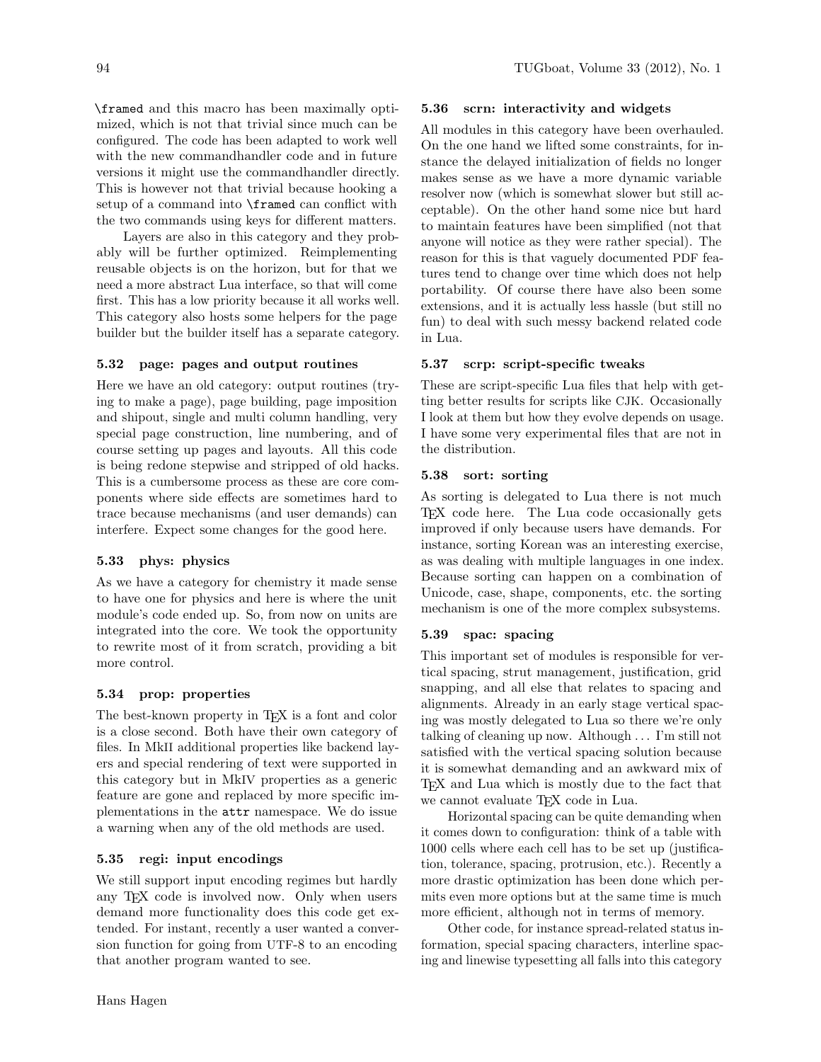\framed and this macro has been maximally optimized, which is not that trivial since much can be configured. The code has been adapted to work well with the new commandhandler code and in future versions it might use the commandhandler directly. This is however not that trivial because hooking a setup of a command into \framed can conflict with the two commands using keys for different matters.

Layers are also in this category and they probably will be further optimized. Reimplementing reusable objects is on the horizon, but for that we need a more abstract Lua interface, so that will come first. This has a low priority because it all works well. This category also hosts some helpers for the page builder but the builder itself has a separate category.

# 5.32 page: pages and output routines

Here we have an old category: output routines (trying to make a page), page building, page imposition and shipout, single and multi column handling, very special page construction, line numbering, and of course setting up pages and layouts. All this code is being redone stepwise and stripped of old hacks. This is a cumbersome process as these are core components where side effects are sometimes hard to trace because mechanisms (and user demands) can interfere. Expect some changes for the good here.

# 5.33 phys: physics

As we have a category for chemistry it made sense to have one for physics and here is where the unit module's code ended up. So, from now on units are integrated into the core. We took the opportunity to rewrite most of it from scratch, providing a bit more control.

# 5.34 prop: properties

The best-known property in TEX is a font and color is a close second. Both have their own category of files. In MkII additional properties like backend layers and special rendering of text were supported in this category but in MkIV properties as a generic feature are gone and replaced by more specific implementations in the attr namespace. We do issue a warning when any of the old methods are used.

# 5.35 regi: input encodings

We still support input encoding regimes but hardly any TEX code is involved now. Only when users demand more functionality does this code get extended. For instant, recently a user wanted a conversion function for going from UTF-8 to an encoding that another program wanted to see.

# 5.36 scrn: interactivity and widgets

All modules in this category have been overhauled. On the one hand we lifted some constraints, for instance the delayed initialization of fields no longer makes sense as we have a more dynamic variable resolver now (which is somewhat slower but still acceptable). On the other hand some nice but hard to maintain features have been simplified (not that anyone will notice as they were rather special). The reason for this is that vaguely documented PDF features tend to change over time which does not help portability. Of course there have also been some extensions, and it is actually less hassle (but still no fun) to deal with such messy backend related code in Lua.

# 5.37 scrp: script-specific tweaks

These are script-specific Lua files that help with getting better results for scripts like CJK. Occasionally I look at them but how they evolve depends on usage. I have some very experimental files that are not in the distribution.

# 5.38 sort: sorting

As sorting is delegated to Lua there is not much TEX code here. The Lua code occasionally gets improved if only because users have demands. For instance, sorting Korean was an interesting exercise, as was dealing with multiple languages in one index. Because sorting can happen on a combination of Unicode, case, shape, components, etc. the sorting mechanism is one of the more complex subsystems.

# 5.39 spac: spacing

This important set of modules is responsible for vertical spacing, strut management, justification, grid snapping, and all else that relates to spacing and alignments. Already in an early stage vertical spacing was mostly delegated to Lua so there we're only talking of cleaning up now. Although . . . I'm still not satisfied with the vertical spacing solution because it is somewhat demanding and an awkward mix of TEX and Lua which is mostly due to the fact that we cannot evaluate TFX code in Lua.

Horizontal spacing can be quite demanding when it comes down to configuration: think of a table with 1000 cells where each cell has to be set up (justification, tolerance, spacing, protrusion, etc.). Recently a more drastic optimization has been done which permits even more options but at the same time is much more efficient, although not in terms of memory.

Other code, for instance spread-related status information, special spacing characters, interline spacing and linewise typesetting all falls into this category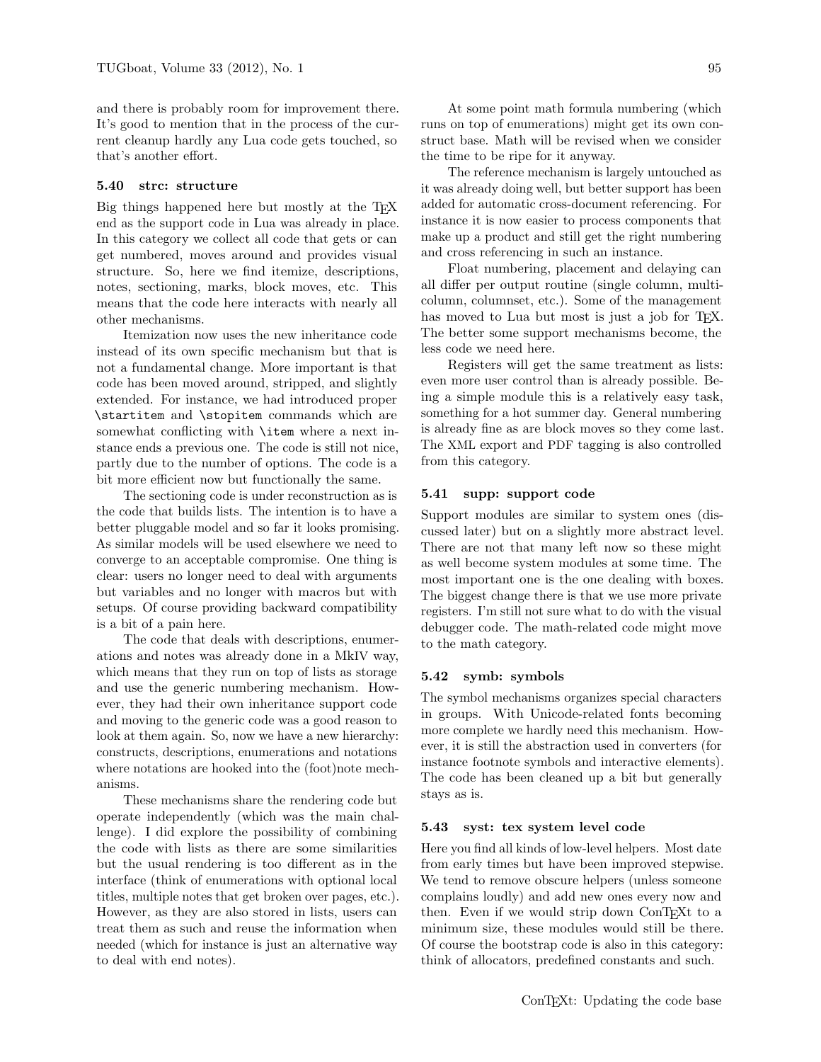and there is probably room for improvement there. It's good to mention that in the process of the current cleanup hardly any Lua code gets touched, so that's another effort.

#### 5.40 strc: structure

Big things happened here but mostly at the TEX end as the support code in Lua was already in place. In this category we collect all code that gets or can get numbered, moves around and provides visual structure. So, here we find itemize, descriptions, notes, sectioning, marks, block moves, etc. This means that the code here interacts with nearly all other mechanisms.

Itemization now uses the new inheritance code instead of its own specific mechanism but that is not a fundamental change. More important is that code has been moved around, stripped, and slightly extended. For instance, we had introduced proper \startitem and \stopitem commands which are somewhat conflicting with **\item** where a next instance ends a previous one. The code is still not nice, partly due to the number of options. The code is a bit more efficient now but functionally the same.

The sectioning code is under reconstruction as is the code that builds lists. The intention is to have a better pluggable model and so far it looks promising. As similar models will be used elsewhere we need to converge to an acceptable compromise. One thing is clear: users no longer need to deal with arguments but variables and no longer with macros but with setups. Of course providing backward compatibility is a bit of a pain here.

The code that deals with descriptions, enumerations and notes was already done in a MkIV way, which means that they run on top of lists as storage and use the generic numbering mechanism. However, they had their own inheritance support code and moving to the generic code was a good reason to look at them again. So, now we have a new hierarchy: constructs, descriptions, enumerations and notations where notations are hooked into the (foot)note mechanisms.

These mechanisms share the rendering code but operate independently (which was the main challenge). I did explore the possibility of combining the code with lists as there are some similarities but the usual rendering is too different as in the interface (think of enumerations with optional local titles, multiple notes that get broken over pages, etc.). However, as they are also stored in lists, users can treat them as such and reuse the information when needed (which for instance is just an alternative way to deal with end notes).

At some point math formula numbering (which runs on top of enumerations) might get its own construct base. Math will be revised when we consider the time to be ripe for it anyway.

The reference mechanism is largely untouched as it was already doing well, but better support has been added for automatic cross-document referencing. For instance it is now easier to process components that make up a product and still get the right numbering and cross referencing in such an instance.

Float numbering, placement and delaying can all differ per output routine (single column, multicolumn, columnset, etc.). Some of the management has moved to Lua but most is just a job for TFX. The better some support mechanisms become, the less code we need here.

Registers will get the same treatment as lists: even more user control than is already possible. Being a simple module this is a relatively easy task, something for a hot summer day. General numbering is already fine as are block moves so they come last. The XML export and PDF tagging is also controlled from this category.

## 5.41 supp: support code

Support modules are similar to system ones (discussed later) but on a slightly more abstract level. There are not that many left now so these might as well become system modules at some time. The most important one is the one dealing with boxes. The biggest change there is that we use more private registers. I'm still not sure what to do with the visual debugger code. The math-related code might move to the math category.

## 5.42 symb: symbols

The symbol mechanisms organizes special characters in groups. With Unicode-related fonts becoming more complete we hardly need this mechanism. However, it is still the abstraction used in converters (for instance footnote symbols and interactive elements). The code has been cleaned up a bit but generally stays as is.

#### 5.43 syst: tex system level code

Here you find all kinds of low-level helpers. Most date from early times but have been improved stepwise. We tend to remove obscure helpers (unless someone complains loudly) and add new ones every now and then. Even if we would strip down ConT<sub>E</sub>Xt to a minimum size, these modules would still be there. Of course the bootstrap code is also in this category: think of allocators, predefined constants and such.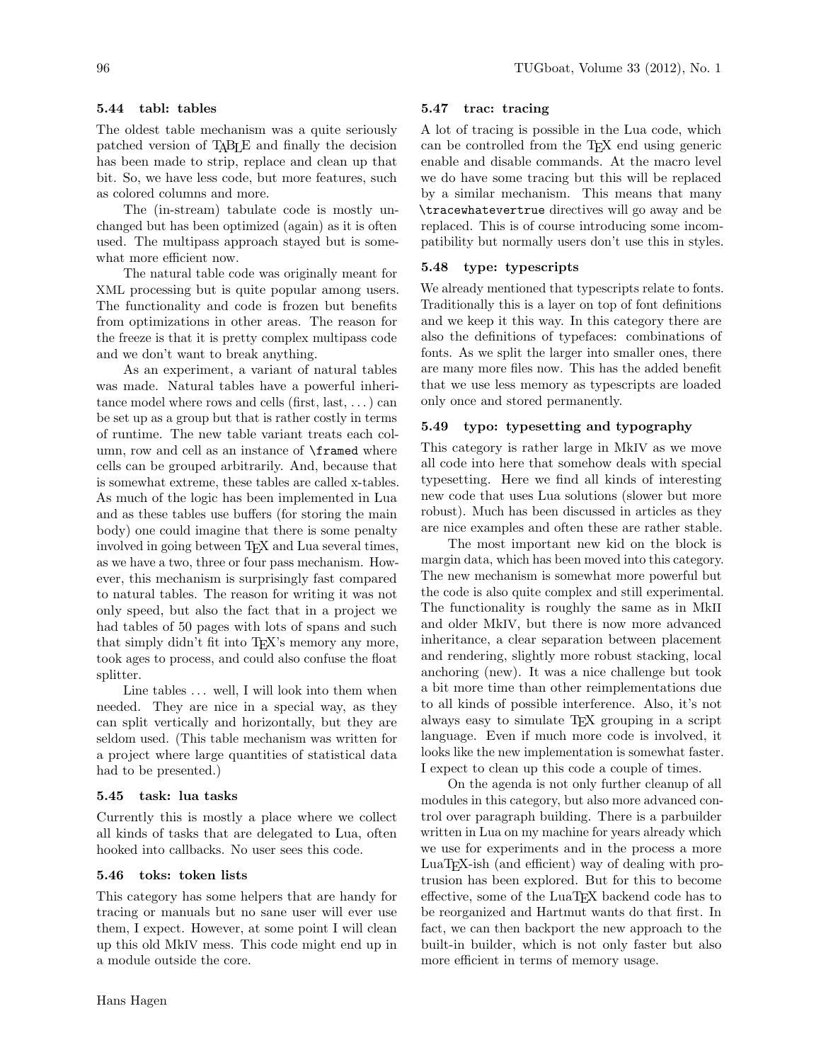# 5.44 tabl: tables

The oldest table mechanism was a quite seriously patched version of TABLE and finally the decision has been made to strip, replace and clean up that bit. So, we have less code, but more features, such as colored columns and more.

The (in-stream) tabulate code is mostly unchanged but has been optimized (again) as it is often used. The multipass approach stayed but is somewhat more efficient now.

The natural table code was originally meant for XML processing but is quite popular among users. The functionality and code is frozen but benefits from optimizations in other areas. The reason for the freeze is that it is pretty complex multipass code and we don't want to break anything.

As an experiment, a variant of natural tables was made. Natural tables have a powerful inheritance model where rows and cells (first, last,  $\dots$ ) can be set up as a group but that is rather costly in terms of runtime. The new table variant treats each column, row and cell as an instance of \framed where cells can be grouped arbitrarily. And, because that is somewhat extreme, these tables are called x-tables. As much of the logic has been implemented in Lua and as these tables use buffers (for storing the main body) one could imagine that there is some penalty involved in going between T<sub>EX</sub> and Lua several times, as we have a two, three or four pass mechanism. However, this mechanism is surprisingly fast compared to natural tables. The reason for writing it was not only speed, but also the fact that in a project we had tables of 50 pages with lots of spans and such that simply didn't fit into TEX's memory any more, took ages to process, and could also confuse the float splitter.

Line tables ... well, I will look into them when needed. They are nice in a special way, as they can split vertically and horizontally, but they are seldom used. (This table mechanism was written for a project where large quantities of statistical data had to be presented.)

## 5.45 task: lua tasks

Currently this is mostly a place where we collect all kinds of tasks that are delegated to Lua, often hooked into callbacks. No user sees this code.

#### 5.46 toks: token lists

This category has some helpers that are handy for tracing or manuals but no sane user will ever use them, I expect. However, at some point I will clean up this old MkIV mess. This code might end up in a module outside the core.

## 5.47 trac: tracing

A lot of tracing is possible in the Lua code, which can be controlled from the TEX end using generic enable and disable commands. At the macro level we do have some tracing but this will be replaced by a similar mechanism. This means that many \tracewhatevertrue directives will go away and be replaced. This is of course introducing some incompatibility but normally users don't use this in styles.

## 5.48 type: typescripts

We already mentioned that typescripts relate to fonts. Traditionally this is a layer on top of font definitions and we keep it this way. In this category there are also the definitions of typefaces: combinations of fonts. As we split the larger into smaller ones, there are many more files now. This has the added benefit that we use less memory as typescripts are loaded only once and stored permanently.

# 5.49 typo: typesetting and typography

This category is rather large in MkIV as we move all code into here that somehow deals with special typesetting. Here we find all kinds of interesting new code that uses Lua solutions (slower but more robust). Much has been discussed in articles as they are nice examples and often these are rather stable.

The most important new kid on the block is margin data, which has been moved into this category. The new mechanism is somewhat more powerful but the code is also quite complex and still experimental. The functionality is roughly the same as in MkII and older MkIV, but there is now more advanced inheritance, a clear separation between placement and rendering, slightly more robust stacking, local anchoring (new). It was a nice challenge but took a bit more time than other reimplementations due to all kinds of possible interference. Also, it's not always easy to simulate TEX grouping in a script language. Even if much more code is involved, it looks like the new implementation is somewhat faster. I expect to clean up this code a couple of times.

On the agenda is not only further cleanup of all modules in this category, but also more advanced control over paragraph building. There is a parbuilder written in Lua on my machine for years already which we use for experiments and in the process a more LuaTEX-ish (and efficient) way of dealing with protrusion has been explored. But for this to become effective, some of the LuaT<sub>EX</sub> backend code has to be reorganized and Hartmut wants do that first. In fact, we can then backport the new approach to the built-in builder, which is not only faster but also more efficient in terms of memory usage.